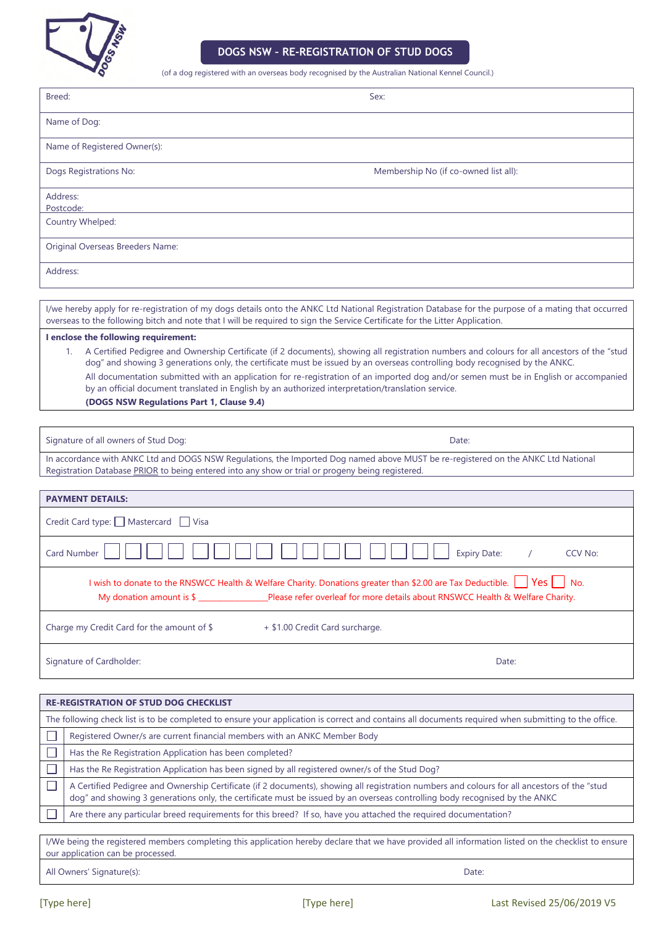

## **DOGS NSW – RE-REGISTRATION OF STUD DOGS**

(of a dog registered with an overseas body recognised by the Australian National Kennel Council.)

| (or a dog registered with an overseas body recognised by the Australian National Kennel Council.)                                                                                                                                                                                                                                                                                                                                                                                                                                                                                                                                                                                                                                                                                                                                                                        |                                                                                                                                                                                                                                                                            |
|--------------------------------------------------------------------------------------------------------------------------------------------------------------------------------------------------------------------------------------------------------------------------------------------------------------------------------------------------------------------------------------------------------------------------------------------------------------------------------------------------------------------------------------------------------------------------------------------------------------------------------------------------------------------------------------------------------------------------------------------------------------------------------------------------------------------------------------------------------------------------|----------------------------------------------------------------------------------------------------------------------------------------------------------------------------------------------------------------------------------------------------------------------------|
| Breed:                                                                                                                                                                                                                                                                                                                                                                                                                                                                                                                                                                                                                                                                                                                                                                                                                                                                   | Sex:                                                                                                                                                                                                                                                                       |
|                                                                                                                                                                                                                                                                                                                                                                                                                                                                                                                                                                                                                                                                                                                                                                                                                                                                          | Name of Dog:                                                                                                                                                                                                                                                               |
|                                                                                                                                                                                                                                                                                                                                                                                                                                                                                                                                                                                                                                                                                                                                                                                                                                                                          | Name of Registered Owner(s):                                                                                                                                                                                                                                               |
|                                                                                                                                                                                                                                                                                                                                                                                                                                                                                                                                                                                                                                                                                                                                                                                                                                                                          | Dogs Registrations No:<br>Membership No (if co-owned list all):                                                                                                                                                                                                            |
| Address:<br>Postcode:                                                                                                                                                                                                                                                                                                                                                                                                                                                                                                                                                                                                                                                                                                                                                                                                                                                    |                                                                                                                                                                                                                                                                            |
|                                                                                                                                                                                                                                                                                                                                                                                                                                                                                                                                                                                                                                                                                                                                                                                                                                                                          | Country Whelped:                                                                                                                                                                                                                                                           |
|                                                                                                                                                                                                                                                                                                                                                                                                                                                                                                                                                                                                                                                                                                                                                                                                                                                                          | Original Overseas Breeders Name:                                                                                                                                                                                                                                           |
| Address:                                                                                                                                                                                                                                                                                                                                                                                                                                                                                                                                                                                                                                                                                                                                                                                                                                                                 |                                                                                                                                                                                                                                                                            |
| I/we hereby apply for re-registration of my dogs details onto the ANKC Ltd National Registration Database for the purpose of a mating that occurred<br>overseas to the following bitch and note that I will be required to sign the Service Certificate for the Litter Application.<br>I enclose the following requirement:<br>A Certified Pedigree and Ownership Certificate (if 2 documents), showing all registration numbers and colours for all ancestors of the "stud<br>$1_{\cdot}$<br>dog" and showing 3 generations only, the certificate must be issued by an overseas controlling body recognised by the ANKC.<br>All documentation submitted with an application for re-registration of an imported dog and/or semen must be in English or accompanied<br>by an official document translated in English by an authorized interpretation/translation service. |                                                                                                                                                                                                                                                                            |
|                                                                                                                                                                                                                                                                                                                                                                                                                                                                                                                                                                                                                                                                                                                                                                                                                                                                          | (DOGS NSW Regulations Part 1, Clause 9.4)                                                                                                                                                                                                                                  |
|                                                                                                                                                                                                                                                                                                                                                                                                                                                                                                                                                                                                                                                                                                                                                                                                                                                                          | Signature of all owners of Stud Dog:<br>Date:                                                                                                                                                                                                                              |
| In accordance with ANKC Ltd and DOGS NSW Regulations, the Imported Dog named above MUST be re-registered on the ANKC Ltd National<br>Registration Database PRIOR to being entered into any show or trial or progeny being registered.                                                                                                                                                                                                                                                                                                                                                                                                                                                                                                                                                                                                                                    |                                                                                                                                                                                                                                                                            |
| <b>PAYMENT DETAILS:</b>                                                                                                                                                                                                                                                                                                                                                                                                                                                                                                                                                                                                                                                                                                                                                                                                                                                  |                                                                                                                                                                                                                                                                            |
| Credit Card type: Mastercard Visa                                                                                                                                                                                                                                                                                                                                                                                                                                                                                                                                                                                                                                                                                                                                                                                                                                        |                                                                                                                                                                                                                                                                            |
|                                                                                                                                                                                                                                                                                                                                                                                                                                                                                                                                                                                                                                                                                                                                                                                                                                                                          | Card Number<br><b>Expiry Date:</b><br>CCV No:                                                                                                                                                                                                                              |
| $\vert$ Yes $\vert$ No.<br>I wish to donate to the RNSWCC Health & Welfare Charity. Donations greater than \$2.00 are Tax Deductible.<br>My donation amount is \$ ________________Please refer overleaf for more details about RNSWCC Health & Welfare Charity.                                                                                                                                                                                                                                                                                                                                                                                                                                                                                                                                                                                                          |                                                                                                                                                                                                                                                                            |
| Charge my Credit Card for the amount of \$<br>+ \$1.00 Credit Card surcharge.                                                                                                                                                                                                                                                                                                                                                                                                                                                                                                                                                                                                                                                                                                                                                                                            |                                                                                                                                                                                                                                                                            |
|                                                                                                                                                                                                                                                                                                                                                                                                                                                                                                                                                                                                                                                                                                                                                                                                                                                                          | Signature of Cardholder:<br>Date:                                                                                                                                                                                                                                          |
| <b>RE-REGISTRATION OF STUD DOG CHECKLIST</b>                                                                                                                                                                                                                                                                                                                                                                                                                                                                                                                                                                                                                                                                                                                                                                                                                             |                                                                                                                                                                                                                                                                            |
|                                                                                                                                                                                                                                                                                                                                                                                                                                                                                                                                                                                                                                                                                                                                                                                                                                                                          |                                                                                                                                                                                                                                                                            |
|                                                                                                                                                                                                                                                                                                                                                                                                                                                                                                                                                                                                                                                                                                                                                                                                                                                                          | The following check list is to be completed to ensure your application is correct and contains all documents required when submitting to the office.<br>Registered Owner/s are current financial members with an ANKC Member Body                                          |
|                                                                                                                                                                                                                                                                                                                                                                                                                                                                                                                                                                                                                                                                                                                                                                                                                                                                          | Has the Re Registration Application has been completed?                                                                                                                                                                                                                    |
|                                                                                                                                                                                                                                                                                                                                                                                                                                                                                                                                                                                                                                                                                                                                                                                                                                                                          | Has the Re Registration Application has been signed by all registered owner/s of the Stud Dog?                                                                                                                                                                             |
|                                                                                                                                                                                                                                                                                                                                                                                                                                                                                                                                                                                                                                                                                                                                                                                                                                                                          | A Certified Pedigree and Ownership Certificate (if 2 documents), showing all registration numbers and colours for all ancestors of the "stud<br>dog" and showing 3 generations only, the certificate must be issued by an overseas controlling body recognised by the ANKC |

Are there any particular breed requirements for this breed? If so, have you attached the required documentation?

I/We being the registered members completing this application hereby declare that we have provided all information listed on the checklist to ensure our application can be processed.

All Owners' Signature(s): Date:

 $\Box$